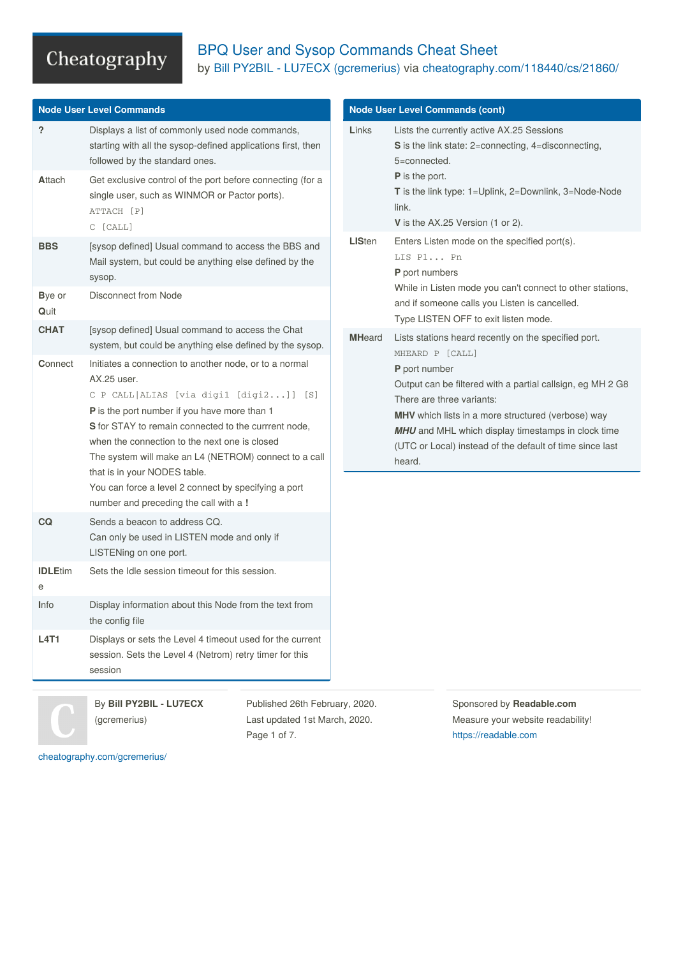### BPQ User and Sysop Commands Cheat Sheet by Bill PY2BIL - LU7ECX [\(gcremerius\)](http://www.cheatography.com/gcremerius/) via [cheatography.com/118440/cs/21860/](http://www.cheatography.com/gcremerius/cheat-sheets/bpq-user-and-sysop-commands)

| <b>Node User Level Commands</b> |                                                                                                                                                                                                                                                                                                                                                                                                                                                                       | <b>Node User Level Commands (cont)</b> |                                                                                                                                                                                                                                                                                                   |  |
|---------------------------------|-----------------------------------------------------------------------------------------------------------------------------------------------------------------------------------------------------------------------------------------------------------------------------------------------------------------------------------------------------------------------------------------------------------------------------------------------------------------------|----------------------------------------|---------------------------------------------------------------------------------------------------------------------------------------------------------------------------------------------------------------------------------------------------------------------------------------------------|--|
| $\overline{?}$<br>Attach        | Displays a list of commonly used node commands,<br>starting with all the sysop-defined applications first, then<br>followed by the standard ones.<br>Get exclusive control of the port before connecting (for a<br>single user, such as WINMOR or Pactor ports).                                                                                                                                                                                                      | Links                                  | Lists the currently active AX.25 Sessions<br>S is the link state: 2=connecting, 4=disconnecting,<br>5=connected.<br>P is the port.<br>T is the link type: 1=Uplink, 2=Downlink, 3=Node-Node                                                                                                       |  |
|                                 | ATTACH [P]<br>C [CALL]                                                                                                                                                                                                                                                                                                                                                                                                                                                |                                        | link.<br>V is the AX.25 Version (1 or 2).                                                                                                                                                                                                                                                         |  |
| <b>BBS</b>                      | [sysop defined] Usual command to access the BBS and<br>Mail system, but could be anything else defined by the<br>sysop.                                                                                                                                                                                                                                                                                                                                               | <b>LISten</b>                          | Enters Listen mode on the specified port(s).<br>LIS P1 Pn<br>P port numbers                                                                                                                                                                                                                       |  |
| Bye or<br>Quit                  | <b>Disconnect from Node</b>                                                                                                                                                                                                                                                                                                                                                                                                                                           |                                        | While in Listen mode you can't connect to other stations,<br>and if someone calls you Listen is cancelled.<br>Type LISTEN OFF to exit listen mode.                                                                                                                                                |  |
| <b>CHAT</b>                     | [sysop defined] Usual command to access the Chat<br>system, but could be anything else defined by the sysop.                                                                                                                                                                                                                                                                                                                                                          | <b>MHeard</b>                          | Lists stations heard recently on the specified port.<br>MHEARD P [CALL]                                                                                                                                                                                                                           |  |
| Connect                         | Initiates a connection to another node, or to a normal<br>AX.25 user.<br>C P CALL   ALIAS [via digi1 [digi2]] [S]<br>P is the port number if you have more than 1<br>S for STAY to remain connected to the currrent node,<br>when the connection to the next one is closed<br>The system will make an L4 (NETROM) connect to a call<br>that is in your NODES table.<br>You can force a level 2 connect by specifying a port<br>number and preceding the call with a ! |                                        | P port number<br>Output can be filtered with a partial callsign, eg MH 2 G8<br>There are three variants:<br>MHV which lists in a more structured (verbose) way<br><b>MHU</b> and MHL which display timestamps in clock time<br>(UTC or Local) instead of the default of time since last<br>heard. |  |
| <b>CQ</b>                       | Sends a beacon to address CQ.<br>Can only be used in LISTEN mode and only if<br>LISTENing on one port.                                                                                                                                                                                                                                                                                                                                                                |                                        |                                                                                                                                                                                                                                                                                                   |  |
| <b>IDLEtim</b><br>e             | Sets the Idle session timeout for this session.                                                                                                                                                                                                                                                                                                                                                                                                                       |                                        |                                                                                                                                                                                                                                                                                                   |  |
| <b>I</b> nfo                    | Display information about this Node from the text from<br>the config file                                                                                                                                                                                                                                                                                                                                                                                             |                                        |                                                                                                                                                                                                                                                                                                   |  |
| <b>L4T1</b>                     | Displays or sets the Level 4 timeout used for the current<br>session. Sets the Level 4 (Netrom) retry timer for this<br>session                                                                                                                                                                                                                                                                                                                                       |                                        |                                                                                                                                                                                                                                                                                                   |  |
|                                 | By Bill PY2BIL - LU7ECX<br>Published 26th February, 2020.                                                                                                                                                                                                                                                                                                                                                                                                             |                                        | Sponsored by Readable.com                                                                                                                                                                                                                                                                         |  |

(gcremerius)

Published 26th February, 2020. Last updated 1st March, 2020. Page 1 of 7.

Sponsored by **Readable.com** Measure your website readability! <https://readable.com>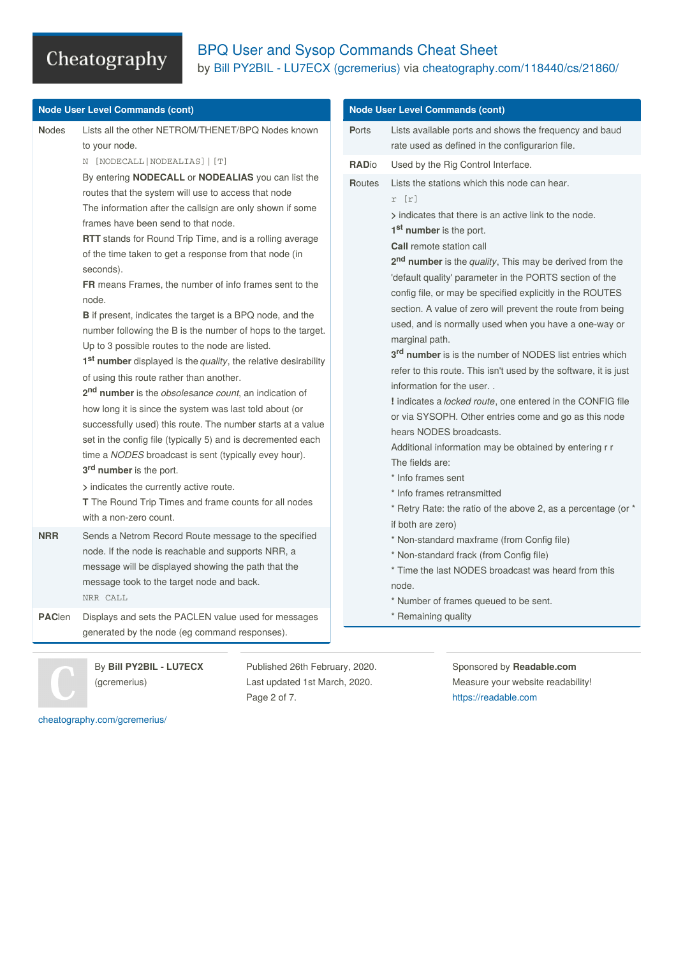### BPQ User and Sysop Commands Cheat Sheet by Bill PY2BIL - LU7ECX [\(gcremerius\)](http://www.cheatography.com/gcremerius/) via [cheatography.com/118440/cs/21860/](http://www.cheatography.com/gcremerius/cheat-sheets/bpq-user-and-sysop-commands)

|               | <b>Node User Level Commands (cont)</b>                                                                                                                                                                                                                                                                                                                                                                                                                                                                                                                                                                                                                                                                                                                                                                                                                                                                                                                                                                                                                                                                                                                                                                                                           |                        | <b>Node User Level Commands (cont)</b>                                                                                                                                                                                                                                                                                                                                                                                                                                                                                                                                                                                                                                                                                                                                                                                                                                                                                                                                                                                                                 |
|---------------|--------------------------------------------------------------------------------------------------------------------------------------------------------------------------------------------------------------------------------------------------------------------------------------------------------------------------------------------------------------------------------------------------------------------------------------------------------------------------------------------------------------------------------------------------------------------------------------------------------------------------------------------------------------------------------------------------------------------------------------------------------------------------------------------------------------------------------------------------------------------------------------------------------------------------------------------------------------------------------------------------------------------------------------------------------------------------------------------------------------------------------------------------------------------------------------------------------------------------------------------------|------------------------|--------------------------------------------------------------------------------------------------------------------------------------------------------------------------------------------------------------------------------------------------------------------------------------------------------------------------------------------------------------------------------------------------------------------------------------------------------------------------------------------------------------------------------------------------------------------------------------------------------------------------------------------------------------------------------------------------------------------------------------------------------------------------------------------------------------------------------------------------------------------------------------------------------------------------------------------------------------------------------------------------------------------------------------------------------|
| <b>Nodes</b>  | Lists all the other NETROM/THENET/BPQ Nodes known<br>to your node.<br>N [NODECALL   NODEALIAS]   [T]                                                                                                                                                                                                                                                                                                                                                                                                                                                                                                                                                                                                                                                                                                                                                                                                                                                                                                                                                                                                                                                                                                                                             | <b>Ports</b>           | Lists available ports and shows the frequency and baud<br>rate used as defined in the configurarion file.<br>Used by the Rig Control Interface.                                                                                                                                                                                                                                                                                                                                                                                                                                                                                                                                                                                                                                                                                                                                                                                                                                                                                                        |
|               | By entering NODECALL or NODEALIAS you can list the<br>routes that the system will use to access that node<br>The information after the callsign are only shown if some<br>frames have been send to that node.<br>RTT stands for Round Trip Time, and is a rolling average<br>of the time taken to get a response from that node (in<br>seconds).<br>FR means Frames, the number of info frames sent to the<br>node.<br><b>B</b> if present, indicates the target is a BPQ node, and the<br>number following the B is the number of hops to the target.<br>Up to 3 possible routes to the node are listed.<br>1 <sup>st</sup> number displayed is the <i>quality</i> , the relative desirability<br>of using this route rather than another.<br>2 <sup>nd</sup> number is the <i>obsolesance count</i> , an indication of<br>how long it is since the system was last told about (or<br>successfully used) this route. The number starts at a value<br>set in the config file (typically 5) and is decremented each<br>time a NODES broadcast is sent (typically evey hour).<br>3 <sup>rd</sup> number is the port.<br>> indicates the currently active route.<br>T The Round Trip Times and frame counts for all nodes<br>with a non-zero count. | <b>RADio</b><br>Routes | Lists the stations which this node can hear.<br>$r$ [ $r$ ]<br>> indicates that there is an active link to the node.<br>1 <sup>st</sup> number is the port.<br><b>Call</b> remote station call<br>2 <sup>nd</sup> number is the quality, This may be derived from the<br>'default quality' parameter in the PORTS section of the<br>config file, or may be specified explicitly in the ROUTES<br>section. A value of zero will prevent the route from being<br>used, and is normally used when you have a one-way or<br>marginal path.<br>3rd number is is the number of NODES list entries which<br>refer to this route. This isn't used by the software, it is just<br>information for the user<br>! indicates a locked route, one entered in the CONFIG file<br>or via SYSOPH. Other entries come and go as this node<br>hears NODES broadcasts.<br>Additional information may be obtained by entering r r<br>The fields are:<br>* Info frames sent<br>* Info frames retransmitted<br>* Retry Rate: the ratio of the above 2, as a percentage (or * |
| <b>NRR</b>    | Sends a Netrom Record Route message to the specified<br>node. If the node is reachable and supports NRR, a<br>message will be displayed showing the path that the<br>message took to the target node and back.<br>NRR CALL                                                                                                                                                                                                                                                                                                                                                                                                                                                                                                                                                                                                                                                                                                                                                                                                                                                                                                                                                                                                                       |                        | if both are zero)<br>* Non-standard maxframe (from Config file)<br>* Non-standard frack (from Config file)<br>* Time the last NODES broadcast was heard from this<br>node.<br>* Number of frames queued to be sent.                                                                                                                                                                                                                                                                                                                                                                                                                                                                                                                                                                                                                                                                                                                                                                                                                                    |
| <b>PAClen</b> | Displays and sets the PACLEN value used for messages<br>generated by the node (eg command responses).                                                                                                                                                                                                                                                                                                                                                                                                                                                                                                                                                                                                                                                                                                                                                                                                                                                                                                                                                                                                                                                                                                                                            |                        | * Remaining quality                                                                                                                                                                                                                                                                                                                                                                                                                                                                                                                                                                                                                                                                                                                                                                                                                                                                                                                                                                                                                                    |
|               | By Bill PY2BIL - LU7ECX<br>Published 26th February, 2020.                                                                                                                                                                                                                                                                                                                                                                                                                                                                                                                                                                                                                                                                                                                                                                                                                                                                                                                                                                                                                                                                                                                                                                                        |                        | Sponsored by Readable.com                                                                                                                                                                                                                                                                                                                                                                                                                                                                                                                                                                                                                                                                                                                                                                                                                                                                                                                                                                                                                              |

(gcremerius)

Published 26th February, 2020. Last updated 1st March, 2020. Page 2 of 7.

Sponsored by **Readable.com** Measure your website readability! <https://readable.com>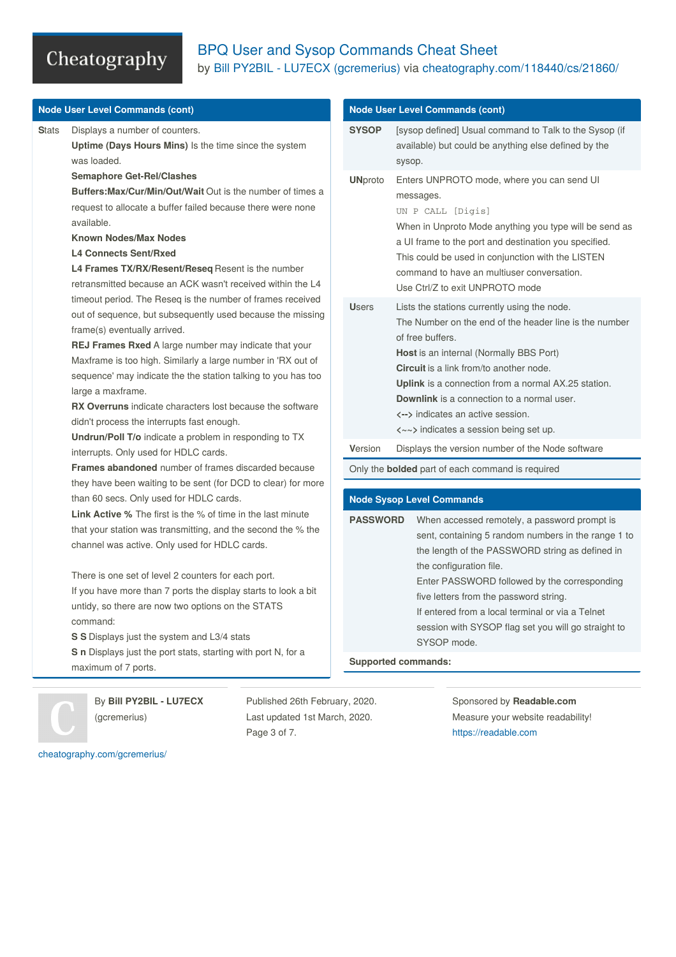### BPQ User and Sysop Commands Cheat Sheet by Bill PY2BIL - LU7ECX [\(gcremerius\)](http://www.cheatography.com/gcremerius/) via [cheatography.com/118440/cs/21860/](http://www.cheatography.com/gcremerius/cheat-sheets/bpq-user-and-sysop-commands)

|              | <b>Node User Level Commands (cont)</b>                                                                                                                                                                                                                                                                                                                                                                                                                                                                                                                                                                                                                                                                                                                                                                                                                                                                                                                                                                                                                                                               |                                  | <b>Node User Level Commands (cont)</b>                                                                                                                                                                                                                                                                                                                                                                                                                                        |  |
|--------------|------------------------------------------------------------------------------------------------------------------------------------------------------------------------------------------------------------------------------------------------------------------------------------------------------------------------------------------------------------------------------------------------------------------------------------------------------------------------------------------------------------------------------------------------------------------------------------------------------------------------------------------------------------------------------------------------------------------------------------------------------------------------------------------------------------------------------------------------------------------------------------------------------------------------------------------------------------------------------------------------------------------------------------------------------------------------------------------------------|----------------------------------|-------------------------------------------------------------------------------------------------------------------------------------------------------------------------------------------------------------------------------------------------------------------------------------------------------------------------------------------------------------------------------------------------------------------------------------------------------------------------------|--|
| <b>Stats</b> | Displays a number of counters.<br>Uptime (Days Hours Mins) Is the time since the system<br>was loaded.                                                                                                                                                                                                                                                                                                                                                                                                                                                                                                                                                                                                                                                                                                                                                                                                                                                                                                                                                                                               | <b>SYSOP</b>                     | [sysop defined] Usual command to Talk to the Sysop (if<br>available) but could be anything else defined by the<br>sysop.                                                                                                                                                                                                                                                                                                                                                      |  |
|              | <b>Semaphore Get-Rel/Clashes</b><br>Buffers: Max/Cur/Min/Out/Wait Out is the number of times a<br>request to allocate a buffer failed because there were none<br>available.<br><b>Known Nodes/Max Nodes</b><br><b>L4 Connects Sent/Rxed</b><br>L4 Frames TX/RX/Resent/Reseq Resent is the number<br>retransmitted because an ACK wasn't received within the L4<br>timeout period. The Reseq is the number of frames received<br>out of sequence, but subsequently used because the missing<br>frame(s) eventually arrived.<br><b>REJ Frames Rxed</b> A large number may indicate that your<br>Maxframe is too high. Similarly a large number in 'RX out of<br>sequence' may indicate the the station talking to you has too<br>large a maxframe.<br><b>RX Overruns</b> indicate characters lost because the software<br>didn't process the interrupts fast enough.<br>Undrun/Poll T/o indicate a problem in responding to TX<br>interrupts. Only used for HDLC cards.<br><b>Frames abandoned</b> number of frames discarded because<br>they have been waiting to be sent (for DCD to clear) for more | <b>UNproto</b>                   | Enters UNPROTO mode, where you can send UI<br>messages.<br>UN P CALL [Digis]<br>When in Unproto Mode anything you type will be send as<br>a UI frame to the port and destination you specified.<br>This could be used in conjunction with the LISTEN<br>command to have an multiuser conversation.<br>Use Ctrl/Z to exit UNPROTO mode                                                                                                                                         |  |
|              |                                                                                                                                                                                                                                                                                                                                                                                                                                                                                                                                                                                                                                                                                                                                                                                                                                                                                                                                                                                                                                                                                                      | <b>Users</b><br>Version          | Lists the stations currently using the node.<br>The Number on the end of the header line is the number<br>of free buffers.<br>Host is an internal (Normally BBS Port)<br><b>Circuit</b> is a link from/to another node.<br><b>Uplink</b> is a connection from a normal AX.25 station.<br><b>Downlink</b> is a connection to a normal user.<br><--> indicates an active session.<br><~~> indicates a session being set up.<br>Displays the version number of the Node software |  |
|              |                                                                                                                                                                                                                                                                                                                                                                                                                                                                                                                                                                                                                                                                                                                                                                                                                                                                                                                                                                                                                                                                                                      |                                  | Only the <b>bolded</b> part of each command is required                                                                                                                                                                                                                                                                                                                                                                                                                       |  |
|              |                                                                                                                                                                                                                                                                                                                                                                                                                                                                                                                                                                                                                                                                                                                                                                                                                                                                                                                                                                                                                                                                                                      |                                  |                                                                                                                                                                                                                                                                                                                                                                                                                                                                               |  |
|              | than 60 secs. Only used for HDLC cards.                                                                                                                                                                                                                                                                                                                                                                                                                                                                                                                                                                                                                                                                                                                                                                                                                                                                                                                                                                                                                                                              | <b>Node Sysop Level Commands</b> |                                                                                                                                                                                                                                                                                                                                                                                                                                                                               |  |
|              | <b>Link Active %</b> The first is the % of time in the last minute<br>that your station was transmitting, and the second the % the<br>channel was active. Only used for HDLC cards.<br>There is one set of level 2 counters for each port.<br>If you have more than 7 ports the display starts to look a bit<br>untidy, so there are now two options on the STATS<br>command:<br>S S Displays just the system and L3/4 stats<br><b>S</b> n Displays just the port stats, starting with port N, for a<br>maximum of 7 ports.                                                                                                                                                                                                                                                                                                                                                                                                                                                                                                                                                                          | <b>PASSWORD</b>                  | When accessed remotely, a password prompt is<br>sent, containing 5 random numbers in the range 1 to<br>the length of the PASSWORD string as defined in                                                                                                                                                                                                                                                                                                                        |  |
|              |                                                                                                                                                                                                                                                                                                                                                                                                                                                                                                                                                                                                                                                                                                                                                                                                                                                                                                                                                                                                                                                                                                      |                                  | the configuration file.<br>Enter PASSWORD followed by the corresponding<br>five letters from the password string.<br>If entered from a local terminal or via a Telnet<br>session with SYSOP flag set you will go straight to<br>SYSOP mode.<br><b>Supported commands:</b>                                                                                                                                                                                                     |  |

By **Bill PY2BIL - LU7ECX** (gcremerius)

Published 26th February, 2020. Last updated 1st March, 2020. Page 3 of 7.

Sponsored by **Readable.com** Measure your website readability! <https://readable.com>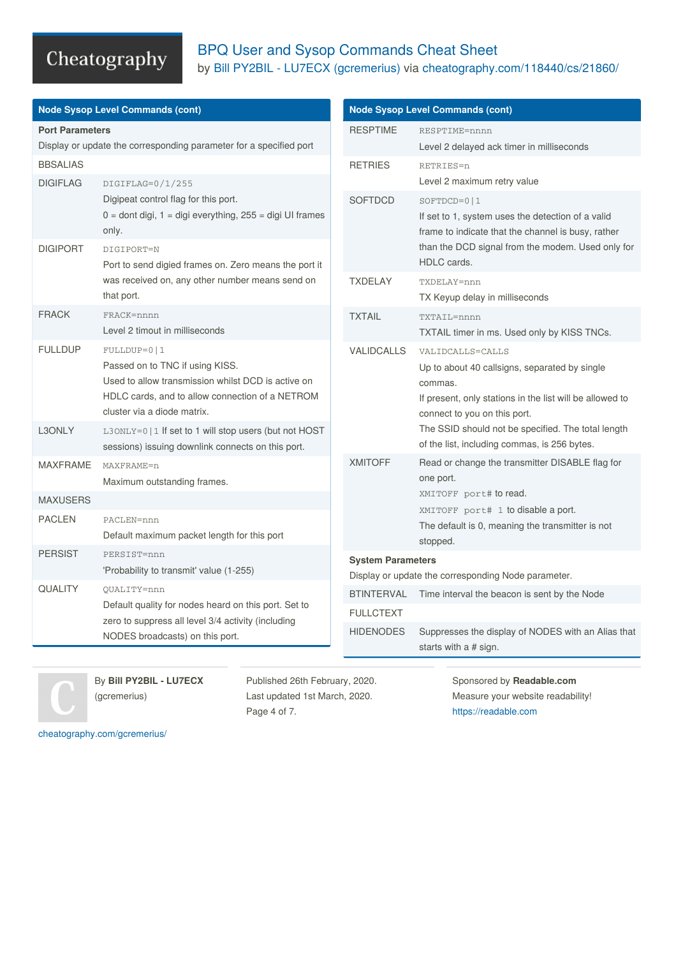### BPQ User and Sysop Commands Cheat Sheet by Bill PY2BIL - LU7ECX [\(gcremerius\)](http://www.cheatography.com/gcremerius/) via [cheatography.com/118440/cs/21860/](http://www.cheatography.com/gcremerius/cheat-sheets/bpq-user-and-sysop-commands)

| <b>Node Sysop Level Commands (cont)</b>                                                                               |                                                                                                                                                                                          | <b>Node Sysop Level Commands (cont)</b>                                         |                                                                                                                                                                                              |  |
|-----------------------------------------------------------------------------------------------------------------------|------------------------------------------------------------------------------------------------------------------------------------------------------------------------------------------|---------------------------------------------------------------------------------|----------------------------------------------------------------------------------------------------------------------------------------------------------------------------------------------|--|
| <b>Port Parameters</b><br>Display or update the corresponding parameter for a specified port                          |                                                                                                                                                                                          | <b>RESPTIME</b>                                                                 | RESPTIME=nnnn<br>Level 2 delayed ack timer in milliseconds                                                                                                                                   |  |
| <b>BBSALIAS</b><br><b>DIGIFLAG</b>                                                                                    | DIGIFLAG=0/1/255                                                                                                                                                                         | <b>RETRIES</b>                                                                  | RETRIES=n<br>Level 2 maximum retry value                                                                                                                                                     |  |
|                                                                                                                       | Digipeat control flag for this port.<br>$0 =$ dont digi, $1 =$ digi everything, 255 = digi UI frames<br>only.                                                                            | <b>SOFTDCD</b>                                                                  | $SOFTDCD=0 1$<br>If set to 1, system uses the detection of a valid<br>frame to indicate that the channel is busy, rather<br>than the DCD signal from the modem. Used only for<br>HDLC cards. |  |
| <b>DIGIPORT</b>                                                                                                       | DIGIPORT=N<br>Port to send digied frames on. Zero means the port it                                                                                                                      |                                                                                 |                                                                                                                                                                                              |  |
|                                                                                                                       | was received on, any other number means send on<br>that port.                                                                                                                            | <b>TXDELAY</b>                                                                  | TXDELAY=nnn<br>TX Keyup delay in milliseconds                                                                                                                                                |  |
| <b>FRACK</b>                                                                                                          | FRACK=nnnn<br>Level 2 timout in milliseconds                                                                                                                                             | <b>TXTAIL</b>                                                                   | TXTAIL=nnnn<br>TXTAIL timer in ms. Used only by KISS TNCs.                                                                                                                                   |  |
| <b>FULLDUP</b>                                                                                                        | FULLDUP=0   1<br>Passed on to TNC if using KISS.<br>Used to allow transmission whilst DCD is active on<br>HDLC cards, and to allow connection of a NETROM<br>cluster via a diode matrix. | <b>VALIDCALLS</b>                                                               | VALIDCALLS=CALLS<br>Up to about 40 callsigns, separated by single<br>commas.<br>If present, only stations in the list will be allowed to<br>connect to you on this port.                     |  |
| L3ONLY<br>L3ONLY=0   1 If set to 1 will stop users (but not HOST<br>sessions) issuing downlink connects on this port. |                                                                                                                                                                                          |                                                                                 | The SSID should not be specified. The total length<br>of the list, including commas, is 256 bytes.                                                                                           |  |
| <b>MAXFRAME</b><br>MAXFRAME=n<br>Maximum outstanding frames.                                                          |                                                                                                                                                                                          | <b>XMITOFF</b>                                                                  | Read or change the transmitter DISABLE flag for<br>one port.                                                                                                                                 |  |
| <b>MAXUSERS</b>                                                                                                       |                                                                                                                                                                                          |                                                                                 | XMITOFF port# to read.                                                                                                                                                                       |  |
| <b>PACLEN</b>                                                                                                         | PACLEN=nnn<br>Default maximum packet length for this port                                                                                                                                |                                                                                 | XMITOFF port# 1 to disable a port.<br>The default is 0, meaning the transmitter is not<br>stopped.                                                                                           |  |
| <b>PERSIST</b><br>PERSIST=nnn<br>'Probability to transmit' value (1-255)                                              |                                                                                                                                                                                          | <b>System Parameters</b><br>Display or update the corresponding Node parameter. |                                                                                                                                                                                              |  |
| <b>QUALITY</b>                                                                                                        | OUALITY=nnn                                                                                                                                                                              | <b>BTINTERVAL</b>                                                               | Time interval the beacon is sent by the Node                                                                                                                                                 |  |
|                                                                                                                       | Default quality for nodes heard on this port. Set to<br>zero to suppress all level 3/4 activity (including<br>NODES broadcasts) on this port.                                            | <b>FULLCTEXT</b>                                                                |                                                                                                                                                                                              |  |
|                                                                                                                       |                                                                                                                                                                                          | <b>HIDENODES</b>                                                                | Suppresses the display of NODES with an Alias that<br>starts with a # sign.                                                                                                                  |  |
|                                                                                                                       |                                                                                                                                                                                          |                                                                                 |                                                                                                                                                                                              |  |



Sponsored by **Readable.com** Measure your website readability! <https://readable.com>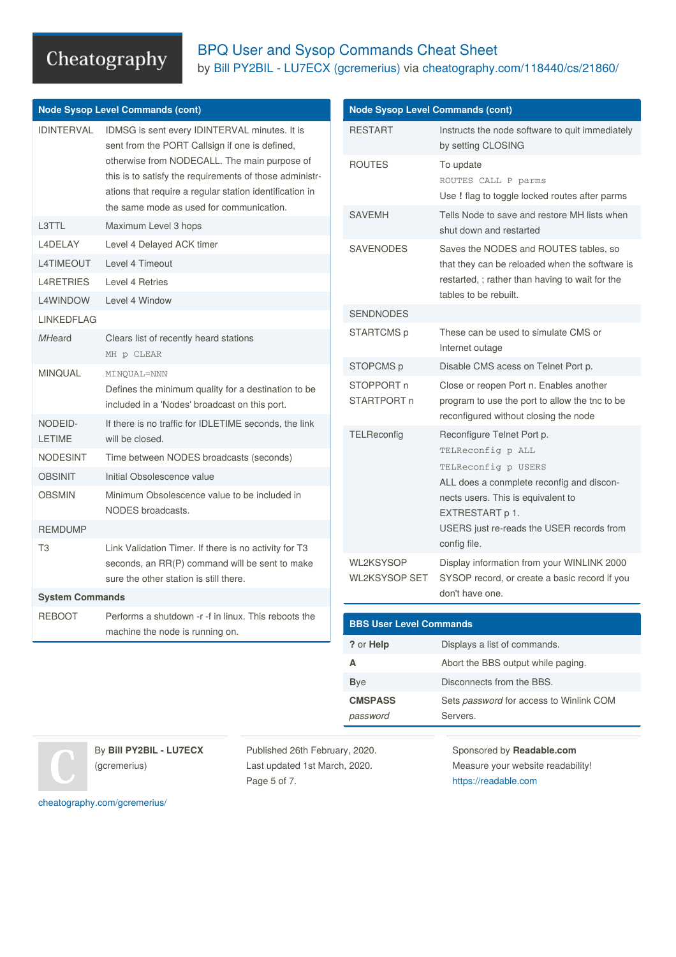#### BPQ User and Sysop Commands Cheat Sheet by Bill PY2BIL - LU7ECX [\(gcremerius\)](http://www.cheatography.com/gcremerius/) via [cheatography.com/118440/cs/21860/](http://www.cheatography.com/gcremerius/cheat-sheets/bpq-user-and-sysop-commands)

|                                    | <b>Node Sysop Level Commands (cont)</b>                                                                                                                                                                                                                               | <b>Node S</b>                                |
|------------------------------------|-----------------------------------------------------------------------------------------------------------------------------------------------------------------------------------------------------------------------------------------------------------------------|----------------------------------------------|
| <b>IDINTERVAL</b>                  | IDMSG is sent every IDINTERVAL minutes. It is<br>sent from the PORT Callsign if one is defined,<br>otherwise from NODECALL. The main purpose of<br>this is to satisfy the requirements of those administr-<br>ations that require a regular station identification in | <b>RESTA</b><br><b>ROUTE</b>                 |
| L3TTL                              | the same mode as used for communication.<br>Maximum Level 3 hops                                                                                                                                                                                                      | <b>SAVEM</b>                                 |
| L4DELAY                            | Level 4 Delayed ACK timer                                                                                                                                                                                                                                             |                                              |
| <b>L4TIMEOUT</b>                   | Level 4 Timeout                                                                                                                                                                                                                                                       | <b>SAVEN</b>                                 |
|                                    |                                                                                                                                                                                                                                                                       |                                              |
| <b>L4RETRIES</b>                   | Level 4 Retries                                                                                                                                                                                                                                                       |                                              |
| <b>L4WINDOW</b>                    | Level 4 Window                                                                                                                                                                                                                                                        | <b>SENDN</b>                                 |
| <b>LINKEDFLAG</b><br><b>MHeard</b> | Clears list of recently heard stations<br>MH p CLEAR                                                                                                                                                                                                                  | <b>START</b>                                 |
| <b>MINQUAL</b>                     | MINOUAL=NNN<br>Defines the minimum quality for a destination to be<br>included in a 'Nodes' broadcast on this port.                                                                                                                                                   | <b>STOPC</b><br><b>STOPF</b><br><b>START</b> |
| NODEID-<br><b>LETIME</b>           | If there is no traffic for IDLETIME seconds, the link<br>will be closed.                                                                                                                                                                                              | <b>TELRe</b>                                 |
| <b>NODESINT</b>                    | Time between NODES broadcasts (seconds)                                                                                                                                                                                                                               |                                              |
| <b>OBSINIT</b>                     | Initial Obsolescence value                                                                                                                                                                                                                                            |                                              |
| <b>OBSMIN</b>                      | Minimum Obsolescence value to be included in<br>NODES broadcasts.                                                                                                                                                                                                     |                                              |
| <b>REMDUMP</b>                     |                                                                                                                                                                                                                                                                       |                                              |
| T <sub>3</sub>                     | Link Validation Timer. If there is no activity for T3<br>seconds, an RR(P) command will be sent to make<br>sure the other station is still there.                                                                                                                     | WL2KS<br>WL2KS                               |
| <b>System Commands</b>             |                                                                                                                                                                                                                                                                       |                                              |
| <b>REBOOT</b>                      | Performs a shutdown -r -f in linux. This reboots the<br>machine the node is running on.                                                                                                                                                                               | <b>BBSU</b>                                  |
|                                    |                                                                                                                                                                                                                                                                       | ? or He                                      |
|                                    |                                                                                                                                                                                                                                                                       | A                                            |
|                                    |                                                                                                                                                                                                                                                                       | <b>Bye</b>                                   |
|                                    |                                                                                                                                                                                                                                                                       |                                              |

| <b>Node Sysop Level Commands (cont)</b>  |                                                                                                                                                                                                                                           |  |  |
|------------------------------------------|-------------------------------------------------------------------------------------------------------------------------------------------------------------------------------------------------------------------------------------------|--|--|
| <b>RESTART</b>                           | Instructs the node software to quit immediately<br>by setting CLOSING                                                                                                                                                                     |  |  |
| <b>ROUTES</b>                            | To update<br>ROUTES CALL P parms<br>Use ! flag to toggle locked routes after parms                                                                                                                                                        |  |  |
| <b>SAVFMH</b>                            | Tells Node to save and restore MH lists when<br>shut down and restarted                                                                                                                                                                   |  |  |
| <b>SAVENODES</b>                         | Saves the NODES and ROUTES tables, so<br>that they can be reloaded when the software is<br>restarted, ; rather than having to wait for the<br>tables to be rebuilt.                                                                       |  |  |
| <b>SENDNODES</b>                         |                                                                                                                                                                                                                                           |  |  |
| STARTCMS p                               | These can be used to simulate CMS or<br>Internet outage                                                                                                                                                                                   |  |  |
| STOPCMS p                                | Disable CMS acess on Telnet Port p.                                                                                                                                                                                                       |  |  |
| STOPPORT n<br>STARTPORT n                | Close or reopen Port n. Enables another<br>program to use the port to allow the tnc to be<br>reconfigured without closing the node                                                                                                        |  |  |
| TELReconfig                              | Reconfigure Telnet Port p.<br>TELReconfig p ALL<br>TELReconfig p USERS<br>ALL does a conmplete reconfig and discon-<br>nects users. This is equivalent to<br>EXTRESTART p 1.<br>USERS just re-reads the USER records from<br>config file. |  |  |
| <b>WL2KSYSOP</b><br><b>WL2KSYSOP SET</b> | Display information from your WINLINK 2000<br>SYSOP record, or create a basic record if you<br>don't have one.                                                                                                                            |  |  |
|                                          |                                                                                                                                                                                                                                           |  |  |
| <b>BBS User Level Commands</b>           |                                                                                                                                                                                                                                           |  |  |
| ? or Help                                | Displays a list of commands.                                                                                                                                                                                                              |  |  |
| Α                                        | Abort the BBS output while paging.                                                                                                                                                                                                        |  |  |
| <b>B</b> ye                              | Disconnects from the BBS.                                                                                                                                                                                                                 |  |  |
| <b>CMSPASS</b>                           | Sets password for access to Winlink COM                                                                                                                                                                                                   |  |  |

By **Bill PY2BIL - LU7ECX** (gcremerius)

Published 26th February, 2020. Last updated 1st March, 2020. Page 5 of 7.

*password*

Sponsored by **Readable.com** Measure your website readability! <https://readable.com>

Servers.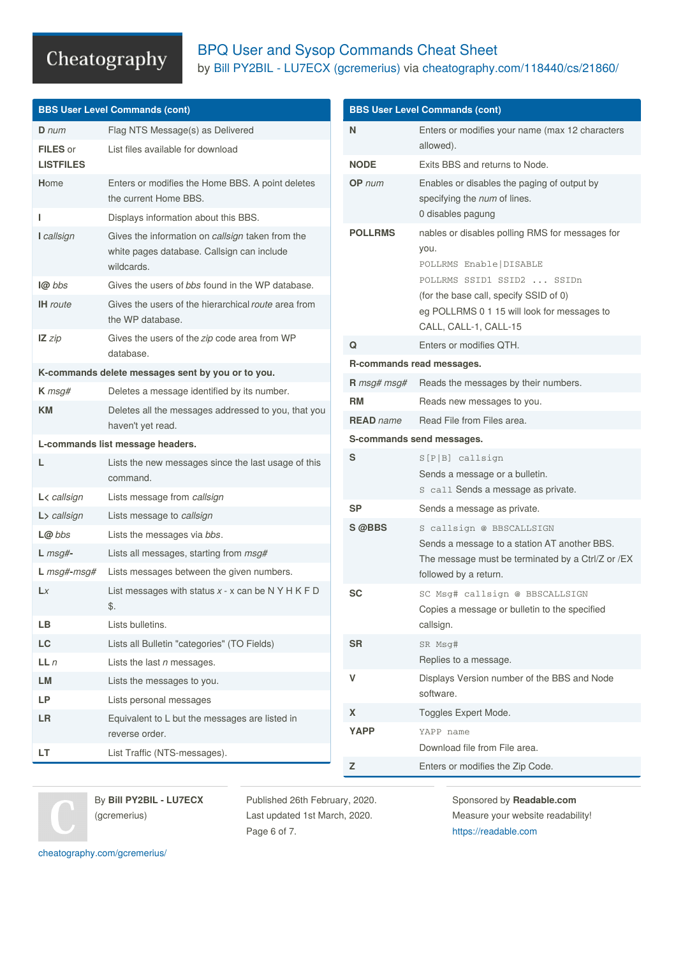#### BPQ User and Sysop Commands Cheat Sheet by Bill PY2BIL - LU7ECX [\(gcremerius\)](http://www.cheatography.com/gcremerius/) via [cheatography.com/118440/cs/21860/](http://www.cheatography.com/gcremerius/cheat-sheets/bpq-user-and-sysop-commands)

| <b>BBS User Level Commands (cont)</b>                                                                                                                                                                                               | <b>BBS User Level Commands (cont)</b> |  |  |
|-------------------------------------------------------------------------------------------------------------------------------------------------------------------------------------------------------------------------------------|---------------------------------------|--|--|
| Flag NTS Message(s) as Delivered<br>N<br>Enters or modifies your name (max 12 characters<br>$D$ num                                                                                                                                 |                                       |  |  |
| allowed).<br>FILES or<br>List files available for download<br><b>LISTFILES</b><br><b>NODE</b><br>Exits BBS and returns to Node.                                                                                                     |                                       |  |  |
| Enters or modifies the Home BBS. A point deletes<br>OP num<br>Enables or disables the paging of output by<br>Home<br>the current Home BBS.<br>specifying the num of lines.                                                          |                                       |  |  |
| 0 disables pagung<br>Displays information about this BBS.<br>L                                                                                                                                                                      |                                       |  |  |
| <b>POLLRMS</b><br>nables or disables polling RMS for messages for<br>I callsign<br>Gives the information on callsign taken from the<br>you.<br>white pages database. Callsign can include<br>POLLRMS Enable   DISABLE<br>wildcards. |                                       |  |  |
| POLLRMS SSID1 SSID2  SSIDn<br>Gives the users of bbs found in the WP database.<br>l@ bbs                                                                                                                                            |                                       |  |  |
| (for the base call, specify SSID of 0)<br>Gives the users of the hierarchical route area from<br><b>IH</b> route<br>eg POLLRMS 0 1 15 will look for messages to<br>the WP database.<br>CALL, CALL-1, CALL-15                        |                                       |  |  |
| Gives the users of the zip code area from WP<br>$\mathsf{IZ}$ zip<br>Q<br>Enters or modifies QTH.                                                                                                                                   |                                       |  |  |
| database.<br>R-commands read messages.                                                                                                                                                                                              |                                       |  |  |
| K-commands delete messages sent by you or to you.<br>Reads the messages by their numbers.<br>R msg# msg#                                                                                                                            |                                       |  |  |
| Deletes a message identified by its number.<br>$K$ msg#<br>RM<br>Reads new messages to you.<br><b>KM</b><br>Deletes all the messages addressed to you, that you                                                                     |                                       |  |  |
| Read File from Files area.<br><b>READ</b> name<br>haven't yet read.                                                                                                                                                                 |                                       |  |  |
| S-commands send messages.<br>L-commands list message headers.                                                                                                                                                                       |                                       |  |  |
| S<br>$S[P B]$ callsign<br>Lists the new messages since the last usage of this<br>L.<br>Sends a message or a bulletin.<br>command.<br>S call Sends a message as private.                                                             |                                       |  |  |
| Lists message from callsign<br>$L$ < callsign<br><b>SP</b>                                                                                                                                                                          |                                       |  |  |
| Sends a message as private.<br>Lists message to callsign<br>$L$ > callsign                                                                                                                                                          |                                       |  |  |
| S @BBS<br>S callsign @ BBSCALLSIGN<br>$L@$ bbs<br>Lists the messages via bbs.<br>Sends a message to a station AT another BBS.                                                                                                       |                                       |  |  |
| $L$ msg#-<br>Lists all messages, starting from msg#<br>The message must be terminated by a Ctrl/Z or /EX                                                                                                                            |                                       |  |  |
| $L$ msg#-msg#<br>Lists messages between the given numbers.<br>followed by a return.                                                                                                                                                 |                                       |  |  |
| List messages with status $x - x$ can be N Y H K F D<br>Lx<br><b>SC</b><br>SC Msg# callsign @ BBSCALLSIGN<br>\$.<br>Copies a message or bulletin to the specified                                                                   |                                       |  |  |
| Lists bulletins.<br>LB<br>callsign.                                                                                                                                                                                                 |                                       |  |  |
| LC<br>Lists all Bulletin "categories" (TO Fields)<br><b>SR</b><br>SR Msg#                                                                                                                                                           |                                       |  |  |
| Replies to a message.<br>LLn<br>Lists the last $n$ messages.                                                                                                                                                                        |                                       |  |  |
| v<br>Displays Version number of the BBS and Node<br>LM<br>Lists the messages to you.                                                                                                                                                |                                       |  |  |
| software.<br>LP<br>Lists personal messages                                                                                                                                                                                          |                                       |  |  |
| X<br>Toggles Expert Mode.<br>Equivalent to L but the messages are listed in<br>LR                                                                                                                                                   |                                       |  |  |
| <b>YAPP</b><br>YAPP name<br>reverse order.                                                                                                                                                                                          |                                       |  |  |
| Download file from File area.<br>List Traffic (NTS-messages).<br>LT.<br>Z<br>Enters or modifies the Zip Code.                                                                                                                       |                                       |  |  |

By **Bill PY2BIL - LU7ECX** (gcremerius)

Published 26th February, 2020. Last updated 1st March, 2020. Page 6 of 7.

Sponsored by **Readable.com** Measure your website readability! <https://readable.com>